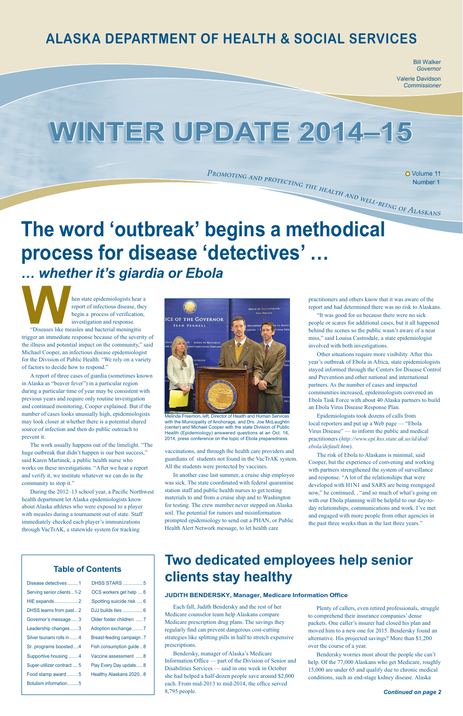Bill Walker *Governor* Valerie Davidson *Commissioner*

Number 1

# **WINTER UPDATE 2014–15**

### **ALASKA DEPARTMENT OF HEALTH & SOCIAL SERVICES**

| Disease detectives1         | <b>DHSS STARS</b> 5      |
|-----------------------------|--------------------------|
| Serving senior clients  1-2 | OCS workers get help 6   |
| <b>HIE expands2</b>         | Spotting suicide risk  6 |
| DHSS learns from past2      | DJJ builds ties  6       |
| Governor's message3         | Older foster children  7 |
| Leadership changes3         | Adoption exchange7       |
| Silver tsunami rolls in  4  | Breast-feeding campaign7 |
| Sr. programs boosted4       | Fish consumption guide8  |
| Supportive housing 4        | Vaccine assessment  8    |
| Super-utilizer contract  5  | Play Every Day update8   |
| Food stamp award 5          | Healthy Alaskans 20208   |
| Botulism information5       |                          |

#### *Continued on page 2*

### **Table of Contents**

**Example 18 September 1997**<br> **Example 18 September 2014**<br> **Example 2015**<br> **Example 2015**<br> **Example 2015**<br> **Example 2015**<br> **Example 2015**<br> **Example 2015**<br> **Example 2015**<br> **Example 2015**<br> **Example 2015**<br> **Example 2015**<br> **Exa** report of infectious disease, they begin a process of verification, investigation and response. "Diseases like measles and bacterial meningitis trigger an immediate response because of the severity of the illness and potential impact on the community," said Michael Cooper, an infectious disease epidemiologist for the Division of Public Health. "We rely on a variety of factors to decide how to respond."

## **The word 'outbreak' begins a methodical process for disease 'detectives' …** *… whether it's giardia or Ebola*



Melinda Freemon, left, Director of Health and Human Services with the Municipality of Anchorage, and Drs. Joe McLaughlin (center) and Michael Cooper with the state Division of Public Health (Epidemiology) answered questions at an Oct. 16, 2014, press conference on the topic of Ebola preparedness.

## **Two dedicated employees help senior clients stay healthy**

A report of three cases of giardia (sometimes known in Alaska as "beaver fever") in a particular region during a particular time of year may be consistent with previous years and require only routine investigation and continued monitoring, Cooper explained. But if the number of cases looks unusually high, epidemiologists may look closer at whether there is a potential shared source of infection and then do public outreach to prevent it.

The work usually happens out of the limelight. "The huge outbreak that didn't happen is our best success," said Karen Martinek, a public health nurse who works on these investigations. "After we hear a report and verify it, we institute whatever we can do in the community to stop it."

During the 2012–13 school year, a Pacific Northwest health department let Alaska epidemiologists know about Alaska athletes who were exposed to a player with measles during a tournament out of state. Staff immediately checked each player's immunizations

vaccinations, and through the health care providers and guardians of students not found in the VacTrAK system. All the students were protected by vaccines.

In another case last summer, a cruise ship employee was sick. The state coordinated with federal quarantine station staff and public health nurses to get testing materials to and from a cruise ship and to Washington for testing. The crew member never stepped on Alaska soil. The potential for rumors and misinformation prompted epidemiology to send out a [PHAN](http://www.epi.hss.state.ak.us/phan/AKPHAN_20140912_MeaslesCruiseShip.pdf), or Public

practitioners and others know that it was aware of the report and had determined there was no risk to Alaskans.

 $P_{ROMOTING \; AND \; PROTECTING \; THE \; HEL1}$  O Volume 11<br>Number 1<br>Number 1<br>Number 1<br>Number 1<br>Number 1

"It was good for us because there were no sick people or scares for additional cases, but it all happened behind the scenes so the public wasn't aware of a near miss," said Louisa Castrodale, a state epidemiologist involved with both investigations.

Other situations require more visibility. After this year's outbreak of Ebola in Africa, state epidemiologists stayed informed through the Centers for Disease Control and Prevention and other national and international partners. As the number of cases and impacted communities increased, epidemiologists convened an Ebola Task Force with about 40 Alaska partners to build an Ebola Virus Disease Response Plan.

Epidemiologists took dozens of calls from local reporters and put up a Web page — ["Ebola](http://www.epi.hss.state.ak.us/id/dod/ebola/default.htm)  [Virus Disease](http://www.epi.hss.state.ak.us/id/dod/ebola/default.htm)" — to inform the public and medical practitioners (*http://www.epi.hss.state.ak.us/id/dod/ ebola/default.htm*).

The risk of Ebola to Alaskans is minimal, said Cooper, but the experience of convening and working with partners strengthened the system of surveillance and response. "A lot of the relationships that were developed with H1N1 and SARS are being reengaged now," he continued, , "and so much of what's going on with our Ebola planning will be helpful to our day-today relationships, communications and work. I've met and engaged with more people from other agencies in the past three weeks than in the last three years."

Each fall, Judith Bendersky and the rest of her Medicare counselor team help Alaskans compare Medicare prescription drug plans. The savings they regularly find can prevent dangerous cost-cutting strategies like splitting pills in half to stretch expensive prescriptions.

Bendersky, manager of Alaska's Medicare Information Office — part of the Division of Senior and Disabilities Services — said in one week in October she had helped a half-dozen people save around \$2,000 each. From mid-2013 to mid-2014, the office served 8,795 people.

Plenty of callers, even retired professionals, struggle to comprehend their insurance companies' dense packets. One caller's insurer had closed his plan and moved him to a new one for 2015. Bendersky found an alternative. His projected savings? More than \$1,200 over the course of a year.

Bendersky worries most about the people she can't help. Of the 77,000 Alaskans who get Medicare, roughly 15,000 are under 65 and qualify due to chronic medical conditions, such as end-stage kidney disease. Alaska

#### **JUDITH BENDERSKY, Manager, Medicare Information Office**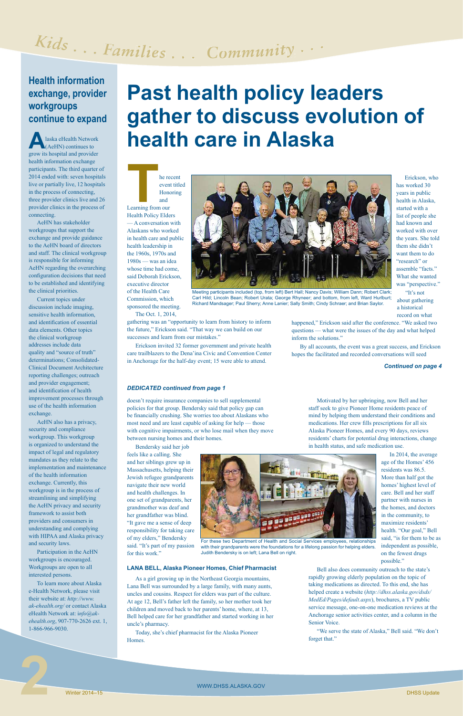

For these two Department of Health and Social Services employees, relationships with their grandparents were the foundations for a lifelong passion for helping elders. Judith Bendersky is on left; Lana Bell on right.

### *DEDICATED continued from page 1*

**A**laska eHealth Network (AeHN) continues to grow its hospital and provider health information exchange participants. The third quarter of 2014 ended with: seven hospitals live or partially live, 12 hospitals in the process of connecting, three provider clinics live and 26 provider clinics in the process of connecting.

AeHN has stakeholder workgroups that support the exchange and provide guidance to the AeHN board of directors and staff. The clinical workgroup is responsible for informing AeHN regarding the overarching configuration decisions that need to be established and identifying the clinical priorities.

Current topics under discussion include imaging, sensitive health information, and identification of essential data elements. Other topics the clinical workgroup addresses include data quality and "source of truth" determinations; Consolidated-Clinical Document Architecture reporting challenges; outreach and provider engagement; and identification of health improvement processes through use of the health information exchange.

event titled **Honoring** 

**THE READ SET READ FRAME SET AND READ FRAME SET READ FRAME REAL PROJECT REAL PROJECT REAL PROJECT REAL PROJECT REAL PROJECT REAL PROJECT REAL PROJECT REAL PROJECT REAL PROJECT PROJECT PROJECT PROJECT PROJECT PROJECT PROJEC** and Learning from our Health Policy Elders — A conversation with Alaskans who worked in health care and public health leadership in the 1960s, 1970s and 1980s — was an idea whose time had come, said Deborah Erickson, executive director of the Health Care Commission, which sponsored the meeting.

AeHN also has a privacy, security and compliance workgroup. This workgroup is organized to understand the impact of legal and regulatory mandates as they relate to the implementation and maintenance of the health information exchange. Currently, this workgroup is in the process of streamlining and simplifying the AeHN privacy and security framework to assist both providers and consumers in

has worked 30 years in public health in Alaska, started with a list of people she had known and worked with over the years. She told them she didn't want them to do "research" or assemble "facts." What she wanted was "perspective."

understanding and complying with HIPAA and Alaska privacy and security laws.

Participation in the AeHN workgroups is encouraged. Workgroups are open to all interested persons.

To learn more about Alaska e-Health Network, please visit their website at: *[http://www.](http://www.ak-ehealth.org/) [ak-ehealth.org/](http://www.ak-ehealth.org/)* or contact Alaska eHealth Network at: i*[nfo@ak](mailto:info@ak-ehealth.org)[ehealth.org](mailto:info@ak-ehealth.org)*, 907-770-2626 ext. 1, 1-866-966-9030.

# Kids... Families... Community...

### **Health information exchange, provider workgroups continue to expand**

#### *Continued on page 4*

## **Past health policy leaders gather to discuss evolution of health care in Alaska**



Meeting participants included (top, from left) Bert Hall; Nancy Davis; William Dann; Robert Clark; Carl Hild; Lincoln Bean; Robert Urata; George Rhyneer; and bottom, from left, Ward Hurlburt; Richard Mandsager; Paul Sherry; Anne Lanier; Sally Smith; Cindy Schraer; and Brian Saylor.

The Oct. 1, 2014,

gathering was an "opportunity to learn from history to inform the future," Erickson said. "That way we can build on our successes and learn from our mistakes."

Erickson invited 32 former government and private health care trailblazers to the Dena'ina Civic and Convention Center in Anchorage for the half-day event; 15 were able to attend.

Erickson, who

"It's not about gathering a historical

record on what happened," Erickson said after the conference. "We asked two questions — what were the issues of the day and what helped inform the solutions."

By all accounts, the event was a great success, and Erickson hopes the facilitated and recorded conversations will seed

doesn't require insurance companies to sell supplemental policies for that group. Bendersky said that policy gap can be financially crushing. She worries too about Alaskans who most need and are least capable of asking for help — those with cognitive impairments, or who lose mail when they move between nursing homes and their homes.

Bendersky said her job feels like a calling. She and her siblings grew up in Massachusetts, helping their Jewish refugee grandparents navigate their new world and health challenges. In one set of grandparents, her grandmother was deaf and her grandfather was blind. "It gave me a sense of deep

responsibility for taking care of my elders," Bendersky said. "It's part of my passion for this work."

#### **LANA BELL, Alaska Pioneer Homes, Chief Pharmacist**

As a girl growing up in the Northeast Georgia mountains, Lana Bell was surrounded by a large family, with many aunts, uncles and cousins. Respect for elders was part of the culture. At age 12, Bell's father left the family, so her mother took her children and moved back to her parents' home, where, at 13, Bell helped care for her grandfather and started working in her uncle's pharmacy.

Today, she's chief pharmacist for the Alaska Pioneer Homes.

Motivated by her upbringing, now Bell and her staff seek to give Pioneer Home residents peace of mind by helping them understand their conditions and medications. Her crew fills prescriptions for all six Alaska Pioneer Homes, and every 90 days, reviews residents' charts for potential drug interactions, change in health status, and safe medication use.



In 2014, the average age of the Homes' 456 residents was 86.5. More than half got the homes' highest level of care. Bell and her staff partner with nurses in the homes, and doctors in the community, to maximize residents' health. "Our goal," Bell said, "is for them to be as independent as possible, on the fewest drugs possible."

Bell also does community outreach to the state's rapidly growing elderly population on the topic of taking medications as directed. To this end, she has helped create a website (*[http://dhss.alaska.gov/dsds/](http://dhss.alaska.gov/dsds/MedEd/Pages/default.aspx) [MedEd/Pages/default.aspx](http://dhss.alaska.gov/dsds/MedEd/Pages/default.aspx)*), brochures, a TV public service message, one-on-one medication reviews at the Anchorage senior activities center, and a column in the Senior Voice.

"We serve the state of Alaska," Bell said. "We don't forget that."

**2**<br>Winter 2014–15<br>Winter 2014–15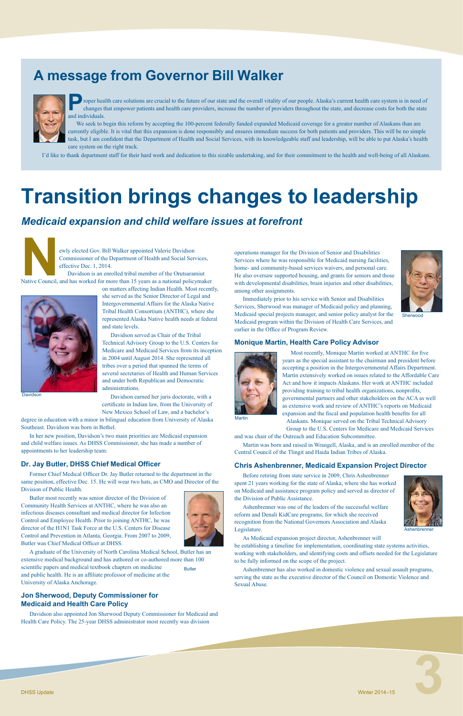

## **A message from Governor Bill Walker**



## **Transition brings changes to leadership**

Ashenbrenner

Sherwood

**P**roper health care solutions are crucial to the future of our state and the overall vitality of our people. Alaska's current health care system is in need of changes that empower patients and health care providers, incre changes that empower patients and health care providers, increase the number of providers throughout the state, and decrease costs for both the state and individuals.

We seek to begin this reform by accepting the 100-percent federally funded expanded Medicaid coverage for a greater number of Alaskans than are currently eligible. It is vital that this expansion is done responsibly and ensures immediate success for both patients and providers. This will be no simple task, but I am confident that the Department of Health and Social Services, with its knowledgeable staff and leadership, will be able to put Alaska's health care system on the right track.

ewly elected Gov. Bill Walker appointed Valerie Davidson<br>Commissioner of the Department of Health and Social Server<br>Frective Dec. 1, 2014.<br>Davidson is an enrolled tribal member of the Orutsaran<br>Native Council, and has work Commissioner of the Department of Health and Social Services, effective Dec. 1, 2014.

I'd like to thank department staff for their hard work and dedication to this sizable undertaking, and for their commitment to the health and well-being of all Alaskans.

Davidson is an enrolled tribal member of the Orutsaramiut Native Council, and has worked for more than 15 years as a national policymaker

on matters affecting Indian Health. Most recently, she served as the Senior Director of Legal and Intergovernmental Affairs for the Alaska Native Tribal Health Consortium (ANTHC), where she represented Alaska Native health needs at federal and state levels.

**Butler** A graduate of the University of North Carolina Medical School, Butler has an extensive medical background and has authored or co-authored more than 100 scientific papers and medical textbook chapters on medicine and public health. He is an affiliate professor of medicine at the University of Alaska Anchorage.

Davidson served as Chair of the Tribal Technical Advisory Group to the U.S. Centers for Medicare and Medicaid Services from its inception in 2004 until August 2014. She represented all tribes over a period that spanned the terms of several secretaries of Health and Human Services and under both Republican and Democratic administrations.

Davidson earned her juris doctorate, with a certificate in Indian law, from the University of

New Mexico School of Law, and a bachelor's degree in education with a minor in bilingual education from University of Alaska Southeast. Davidson was born in Bethel.

In her new position, Davidson's two main priorities are Medicaid expansion and child welfare issues. As DHSS Commissioner, she has made a number of appointments to her leadership team:

### **Dr. Jay Butler, DHSS Chief Medical Officer**

Former Chief Medical Officer Dr. Jay Butler returned to the department in the same position, effective Dec. 15. He will wear two hats, as CMO and Director of the Division of Public Health.

Butler most recently was senior director of the Division of Community Health Services at ANTHC, where he was also an infectious diseases consultant and medical director for Infection Control and Employee Health. Prior to joining ANTHC, he was director of the H1N1 Task Force at the U.S. Centers for Disease Control and Prevention in Atlanta, Georgia. From 2007 to 2009, Butler was Chief Medical Officer at DHSS.



### **Jon Sherwood, Deputy Commissioner for Medicaid and Health Care Policy**

Davidson also appointed Jon Sherwood Deputy Commissioner for Medicaid and Health Care Policy. The 25-year DHSS administrator most recently was division

### *Medicaid expansion and child welfare issues at forefront*



operations manager for the Division of Senior and Disabilities Services where he was responsible for Medicaid nursing facilities, home- and community-based services waivers, and personal care. He also oversaw supported housing, and grants for seniors and those with developmental disabilities, brain injuries and other disabilities, among other assignments.



Immediately prior to his service with Senior and Disabilities Services, Sherwood was manager of Medicaid policy and planning, Medicaid special projects manager, and senior policy analyst for the Medicaid program within the Division of Health Care Services, and earlier in the Office of Program Review.

### **Monique Martin, Health Care Policy Advisor**



Most recently, Monique Martin worked at ANTHC for five years as the special assistant to the chairman and president before accepting a position in the Intergovernmental Affairs Department. Martin extensively worked on issues related to the Affordable Care Act and how it impacts Alaskans. Her work at ANTHC included providing training to tribal health organizations, nonprofits, governmental partners and other stakeholders on the ACA as well as extensive work and review of ANTHC's reports on Medicaid expansion and the fiscal and population health benefits for all Alaskans. Monique served on the Tribal Technical Advisory

**Martin** 

Group to the U.S. Centers for Medicare and Medicaid Services and was chair of the Outreach and Education Subcommittee.

Martin was born and raised in Wrangell, Alaska, and is an enrolled member of the Central Council of the Tlingit and Haida Indian Tribes of Alaska.

### **Chris Ashenbrenner, Medicaid Expansion Project Director**

Before retiring from state service in 2009, Chris Ashenbrenner spent 21 years working for the state of Alaska, where she has worked on Medicaid and assistance program policy and served as director of the Division of Public Assistance.

Ashenbrenner was one of the leaders of the successful welfare reform and Denali KidCare programs, for which she received recognition from the National Governors Association and Alaska



Legislature.

As Medicaid expansion project director, Ashenbrenner will be establishing a timeline for implementation, coordinating state systems activities, working with stakeholders, and identifying costs and offsets needed for the Legislature to be fully informed on the scope of the project.

Ashenbrenner has also worked in domestic violence and sexual assault programs, serving the state as the executive director of the Council on Domestic Violence and Sexual Abuse.



Davidson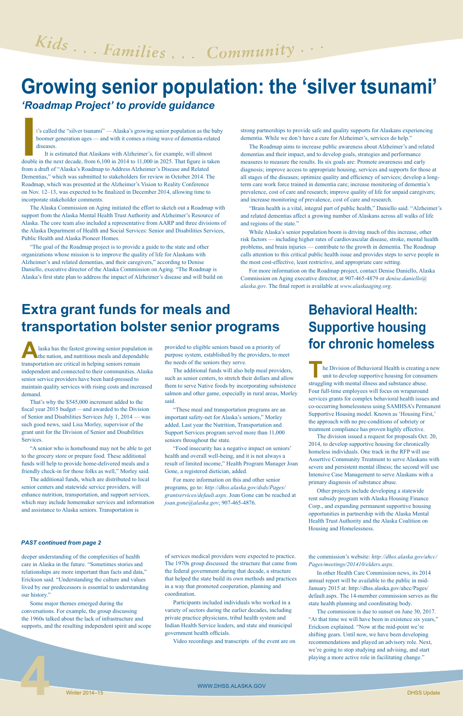

# Kids... Families... Community...

## **Growing senior population: the 'silver tsunami'**

*'Roadmap Project' to provide guidance* 

t's called the "silver tsunami" — Alaska's growing senior population as the baby boomer generation ages — and with it comes a rising wave of dementia-related diseases.

**I** It is estimated that Alaskans with Alzheimer's, for example, will almost double in the next decade, from 6,100 in 2014 to 11,000 in 2025. That figure is taken from a draft of "Alaska's Roadmap to Address Alzheimer's Disease and Related Dementias," which was submitted to stakeholders for review in October 2014. The Roadmap, which was presented at the Alzheimer's Vision to Reality Conference on Nov. 12–13, was expected to be finalized in December 2014, allowing time to incorporate stakeholder comments.

The Alaska Commission on Aging initiated the effort to sketch out a Roadmap with support from the Alaska Mental Health Trust Authority and Alzheimer's Resource of Alaska. The core team also included a representative from AARP and three divisions of the Alaska Department of Health and Social Services: Senior and Disabilities Services, Public Health and Alaska Pioneer Homes.

"The goal of the Roadmap project is to provide a guide to the state and other organizations whose mission is to improve the quality of life for Alaskans with Alzheimer's and related dementias, and their caregivers," according to Denise Daniello, executive director of the Alaska Commission on Aging. "The Roadmap is Alaska's first state plan to address the impact of Alzheimer's disease and will build on strong partnerships to provide safe and quality supports for Alaskans experiencing dementia. While we don't have a cure for Alzheimer's, services do help."

laska has the fastest growing senior population in the nation, and nutritious meals and dependable transportation are critical in helping seniors remain independent and connected to their communities. Alaska senior service providers have been hard-pressed to maintain quality services with rising costs and increased demand.

The Roadmap aims to increase public awareness about Alzheimer's and related dementias and their impact, and to develop goals, strategies and performance measures to measure the results. Its six goals are: Promote awareness and early diagnosis; improve access to appropriate housing, services and supports for those at all stages of the diseases; optimize quality and efficiency of services; develop a longterm care work force trained in dementia care; increase monitoring of dementia's prevalence, cost of care and research; improve quality of life for unpaid caregivers; and increase monitoring of prevalence, cost of care and research.

"Brain health is a vital, integral part of public health," Daniello said. "Alzheimer's and related dementias affect a growing number of Alaskans across all walks of life and regions of the state."

While Alaska's senior population boom is driving much of this increase, other risk factors — including higher rates of cardiovascular disease, stroke, mental health problems, and brain injuries — contribute to the growth in dementia. The Roadmap calls attention to this critical public health issue and provides steps to serve people in the most cost-effective, least restrictive, and appropriate care setting.

> he Division of Behavioral Health is creating a new unit to develop supportive housing for consumers struggling with mental illness and substance abuse. Four full-time employees will focus on wraparound services grants for complex behavioral health issues and co-occurring homelessness using SAMHSA's Permanent Supportive Housing model. Known as 'Housing First,' the approach with no pre-conditions of sobriety or treatment compliance has proven highly effective.

For more information on the Roadmap project, contact Denise Daniello, Alaska Commission on Aging executive director, at 907-465-4879 or *[denise.daniello@](mailto:denise.daniello@alaska.gov) [alaska.gov](mailto:denise.daniello@alaska.gov)*. The final report is available at *[www.alaskaaging.org](http://www.alaskaaging.org)*.

That's why the \$545,000 increment added to the fiscal year 2015 budget —and awarded to the Division of Senior and Disabilities Services July 1, 2014 — was such good news, said Lisa Morley, supervisor of the grant unit for the Division of Senior and Disabilities Services.

"A senior who is homebound may not be able to get to the grocery store or prepare food. These additional funds will help to provide home-delivered meals and a friendly check-in for those folks as well," Morley said.

The additional funds, which are distributed to local senior centers and statewide service providers, will enhance nutrition, transportation, and support services, which may include homemaker services and information and assistance to Alaska seniors. Transportation is

## **Extra grant funds for meals and transportation bolster senior programs**

provided to eligible seniors based on a priority of purpose system, established by the providers, to meet the needs of the seniors they serve.

The additional funds will also help meal providers, such as senior centers, to stretch their dollars and allow them to serve Native foods by incorporating subsistence salmon and other game, especially in rural areas, Morley said.

"These meal and transportation programs are an important safety-net for Alaska's seniors," Morley added. Last year the Nutrition, Transportation and Support Services program served more than 11,000 seniors throughout the state.

"Food insecurity has a negative impact on seniors' health and overall well-being, and it is not always a result of limited income," Health Program Manager Joan Gone, a registered dietician, added.

For more information on this and other senior programs, go to: *[http://dhss.alaska.gov/dsds/Pages/](http://dhss.alaska.gov/dsds/Pages/grantservices/default.aspx) [grantservices/default.aspx](http://dhss.alaska.gov/dsds/Pages/grantservices/default.aspx)*. Joan Gone can be reached at *[joan.gone@alaska.gov](mailto:joan.gone@alaska.gov)*; 907-465-4876.

The division issued a request for proposals Oct. 20, 2014, to develop supportive housing for chronically homeless individuals. One track in the RFP will use Assertive Community Treatment to serve Alaskans with severe and persistent mental illness; the second will use Intensive Case Management to serve Alaskans with a primary diagnosis of substance abuse.

Other projects include developing a statewide rent subsidy program with Alaska Housing Finance Corp., and expanding permanent supportive housing opportunities in partnership with the Alaska Mental Health Trust Authority and the Alaska Coalition on

## **Behavioral Health: Supportive housing for chronic homeless**

deeper understanding of the complexities of health care in Alaska in the future. "Sometimes stories and relationships are more important than facts and data," Erickson said. "Understanding the culture and values lived by our predecessors is essential to understanding our history."

Some major themes emerged during the conversations. For example, the group discussing the 1960s talked about the lack of infrastructure and supports, and the resulting independent spirit and scope

### *PAST continued from page 2*

of services medical providers were expected to practice. The 1970s group discussed the structure that came from the federal government during that decade, a structure that helped the state build its own methods and practices in a way that promoted cooperation, planning and coordination.

Participants included individuals who worked in a variety of sectors during the earlier decades, including private practice physicians, tribal health system and Indian Health Service leaders, and state and municipal government health officials.

Video recordings and transcripts of the event are on

the commission's website: *[http://dhss.alaska.gov/ahcc/](http://dhss.alaska.gov/ahcc/Pages/meetings/201410/elders.aspx) [Pages/meetings/201410/elders.aspx](http://dhss.alaska.gov/ahcc/Pages/meetings/201410/elders.aspx)*.

In other Health Care Commission news, its 2014 annual report will be available to the public in mid-January 2015 at: [http://dhss.alaska.gov/ahcc/Pages/](http://dhss.alaska.gov/ahcc/Pages/default.aspx) [default.aspx.](http://dhss.alaska.gov/ahcc/Pages/default.aspx) The 14-member commission serves as the state health planning and coordinating body.

The commission is due to sunset on June 30, 2017. "At that time we will have been in existence six years," Erickson explained. "Now at the mid-point we're shifting gears. Until now, we have been developing recommendations and played an advisory role. Next, we're going to stop studying and advising, and start playing a more active role in facilitating change."

**4** WWW.DHSS.ALASKA.GOV<br>Winter 2014–15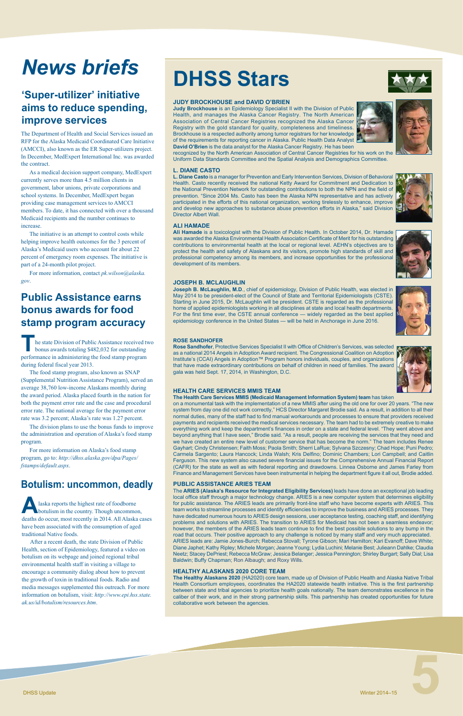## **DHSS Stars**

## *News briefs*

### **JUDY BROCKHOUSE and DAVID O'BRIEN**

**Judy Brockhouse** is an Epidemiology Specialist II with the Division of Public Health, and manages the Alaska Cancer Registry. The North American Association of Central Cancer Registries recognized the Alaska Cancer Registry with the gold standard for quality, completeness and timeliness. Brockhouse is a respected authority among tumor registrars for her knowledge of the requirements for reporting cancer in Alaska. Public Health Data Analyst **David O'Brien** is the data analyst for the Alaska Cancer Registry. He has been

recognized by the North American Association of Central Cancer Registries for his work on the Uniform Data Standards Committee and the Spatial Analysis and Demographics Committee.

### **L. DIANE CASTO**

**L. Diane Casto** is a manager for Prevention and Early Intervention Services, Division of Behavioral Health. Casto recently received the national Ketty Award for Commitment and Dedication to the National Prevention Network for outstanding contributions to both the NPN and the field of prevention. "Since 2004 Ms. Casto has been the Alaska NPN representative and has actively participated in the efforts of this national organization, working tirelessly to enhance, improve and develop new approaches to substance abuse prevention efforts in Alaska," said Division Director Albert Wall.

### **ALI HAMADE**

**Ali Hamade** is a toxicologist with the Division of Public Health. In October 2014, Dr. Hamade was awarded the Alaska Environmental Health Association Certificate of Merit for his outstanding contributions to environmental health at the local or regional level. AEHN's objectives are to protect the health and safety of Alaskans and its visitors, promote high standards of skill and professional competency among its members, and increase opportunities for the professional development of its members.

### **JOSEPH B. MCLAUGHLIN**

**Joseph B. McLaughlin, M.D**., chief of epidemiology, Division of Public Health, was elected in May 2014 to be president-elect of the Council of State and Territorial Epidemiologists (CSTE). Starting in June 2015, Dr. McLaughlin will be president. CSTE is regarded as the professional home of applied epidemiologists working in all disciplines at state and local health departments. For the first time ever, the CSTE annual conference — widely regarded as the best applied epidemiology conference in the United States — will be held in Anchorage in June 2016.

#### **ROSE SANDHOFER**

**Rose Sandhofer**, Protective Services Specialist II with Office of Children's Services, was selected as a national 2014 Angels in Adoption Award recipient. The Congressional Coalition on Adoption Institute's (CCAI) Angels in Adoption™ Program honors individuals, couples, and organizations that have made extraordinary contributions on behalf of children in need of families. The award gala was held Sept. 17, 2014, in Washington, D.C.

### **HEALTH CARE SERVICES MMIS TEAM**

**The Health Care Services MMIS (Medicaid Management Information System) team** has taken

he state Division of Public Assistance received two bonus awards totaling \$482,032 for outstanding performance in administering the food stamp program during federal fiscal year 2013.

> on a monumental task with the implementation of a new MMIS after using the old one for over 20 years. "The new system from day one did not work correctly," HCS Director Margaret Brodie said. As a result, in addition to all their normal duties, many of the staff had to find manual workarounds and processes to ensure that providers received payments and recipients received the medical services necessary. The team had to be extremely creative to make everything work and keep the department's finances in order on a state and federal level. "They went above and beyond anything that I have seen," Brodie said. "As a result, people are receiving the services that they need and we have created an entire new level of customer service that has become the norm." The team includes Renee Gayhart; Cindy Christensen; Faith Moss; Paola Smith; Sherri LaRue; Sylvana Szczesny; Chad Hope; Puni Pedro; Carmela Sargento; Laura Hancock; Linda Walsh; Kris Delfino; Dominic Chambers; Lori Campbell; and Caitlin Ferguson. This new system also caused severe financial issues for the Comprehensive Annual Financial Report (CAFR) for the state as well as with federal reporting and drawdowns. Linnea Osborne and James Farley from Finance and Management Services have been instrumental in helping the department figure it all out, Brodie added.

### **PUBLIC ASSISTANCE ARIES TEAM**

The **ARIES (Alaska's Resource for Integrated Eligibility Services)** leads have done an exceptional job leading local office staff through a major technology change. ARIES is a new computer system that determines eligibility for public assistance. The ARIES leads are primarily front-line staff who have become experts with ARIES. This team works to streamline processes and identify efficiencies to improve the business and ARIES processes. They have dedicated numerous hours to ARIES design sessions, user acceptance testing, coaching staff, and identifying problems and solutions with ARIES. The transition to ARIES for Medicaid has not been a seamless endeavor; however, the members of the ARIES leads team continue to find the best possible solutions to any bump in the road that occurs. Their positive approach to any challenge is noticed by many staff and very much appreciated. ARIES leads are: Jamie Jones-Burch; Rebecca Stovall; Tyrone Gibson; Mari Hamilton; Kari Evanoff; Dave White; Diane Japhet; Kathy Ripley; Michele Morgan; Jeanne Young; Lydia Luchini; Melanie Best; Julieann Dahlke; Claudia Neetz; Stacey DePriest; Rebecca McGraw; Jessica Belanger; Jessica Pennington; Shirley Burgart; Sally Dial; Lisa Baldwin; Buffy Chapman; Ron Albaugh; and Roxy Wills.







#### **HEALTHY ALASKANS 2020 CORE TEAM**

**The Healthy Alaskans 2020** (HA2020) core team, made up of Division of Public Health and Alaska Native Tribal Health Consortium employees, coordinates the HA2020 statewide health initiative. This is the first partnership between state and tribal agencies to prioritize health goals nationally. The team demonstrates excellence in the caliber of their work, and in their strong partnership skills. This partnership has created opportunities for future collaborative work between the agencies.

### **'Super-utilizer' initiative aims to reduce spending, improve services**

The food stamp program, also known as SNAP (Supplemental Nutrition Assistance Program), served an average 38,760 low-income Alaskans monthly during the award period. Alaska placed fourth in the nation for both the payment error rate and the case and procedural error rate. The national average for the payment error rate was 3.2 percent; Alaska's rate was 1.27 percent.

The division plans to use the bonus funds to improve the administration and operation of Alaska's food stamp program.

For more information on Alaska's food stamp program, go to: *http://dhss.alaska.gov/dpa/Pages/ fstamps/default.aspx*.

### **Public Assistance earns bonus awards for food stamp program accuracy**

### **Botulism: uncommon, deadly**

**A**laska reports the highest rate of foodborne botulism in the country. Though uncommon, deaths do occur, most recently in 2014. All Alaska cases

have been associated with the consumption of aged traditional Native foods.

After a recent death, the state Division of Public Health, section of Epidemiology, featured a video on botulism on its webpage and joined regional tribal environmental health staff in visiting a village to encourage a community dialog about how to prevent the growth of toxin in traditional foods. Radio and media messages supplemented this outreach. For more information on botulism, visit: *[http://www.epi.hss.state.](http://www.epi.hss.state.ak.us/id/botulism/resources.htm) [ak.us/id/botulism/resources.htm](http://www.epi.hss.state.ak.us/id/botulism/resources.htm)*.

The Department of Health and Social Services issued an RFP for the Alaska Medicaid Coordinated Care Initiative (AMCCI), also known as the ER Super-utilizers project. In December, MedExpert International Inc. was awarded the contract.

As a medical decision support company, MedExpert currently serves more than 4.5 million clients in government, labor unions, private corporations and school systems. In December, MedExpert began providing case management services to AMCCI members. To date, it has connected with over a thousand Medicaid recipients and the number continues to increase.

The initiative is an attempt to control costs while helping improve health outcomes for the 3 percent of Alaska's Medicaid users who account for about 22 percent of emergency room expenses. The initiative is part of a 24-month pilot project.

For more information, contact *[pk.wilson@alaska.](mailto:pk.wilson@alaska.gov) [gov](mailto:pk.wilson@alaska.gov)*.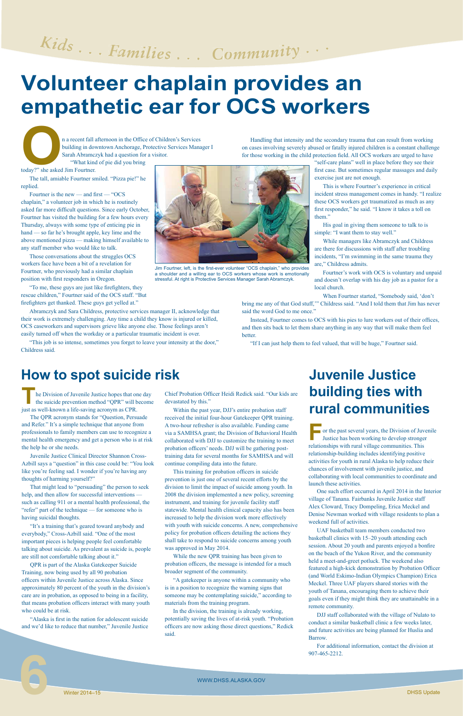n a recent fall afternoon in the Office of Children's Services<br>building in downtown Anchorage, Protective Services Mana<br>Sarah Abramczyk had a question for a visitor.<br>"What kind of pie did you bring<br>today?" she asked Jim Fo building in downtown Anchorage, Protective Services Manager I Sarah Abramczyk had a question for a visitor. "What kind of pie did you bring

today?" she asked Jim Fourtner.

The tall, amiable Fourtner smiled. "Pizza pie!" he replied.

Fourtner is the new — and first — "OCS chaplain," a volunteer job in which he is routinely asked far more difficult questions. Since early October, Fourtner has visited the building for a few hours every Thursday, always with some type of enticing pie in hand — so far he's brought apple, key lime and the above mentioned pizza — making himself available to any staff member who would like to talk.

"This job is so intense, sometimes you forget to leave your intensity at the door," Childress said.

Those conversations about the struggles OCS workers face have been a bit of a revelation for Fourtner, who previously had a similar chaplain position with first responders in Oregon.

"To me, these guys are just like firefighters, they rescue children," Fourtner said of the OCS staff. "But firefighters get thanked. These guys get yelled at."

Abramczyk and Sara Childress, protective services manager II, acknowledge that their work is extremely challenging. Any time a child they know is injured or killed, OCS caseworkers and supervisors grieve like anyone else. Those feelings aren't easily turned off when the workday or a particular traumatic incident is over.

# Kids... Families... Community...

## **Volunteer chaplain provides an empathetic ear for OCS workers**

Handling that intensity and the secondary trauma that can result from working on cases involving severely abused or fatally injured children is a constant challenge for those working in the child protection field. All OCS workers are urged to have

> **For** or the past several years, the Division of Juvenile Justice has been working to develop stronger relationships with rural village communities. This relationship-building includes identifying positive activities for youth in rural Alaska to help reduce their chances of involvement with juvenile justice, and collaborating with local communities to coordinate and launch these activities.

"self-care plans" well in place before they see their first case. But sometimes regular massages and daily exercise just are not enough.

This is where Fourtner's experience in critical incident stress management comes in handy. "I realize these OCS workers get traumatized as much as any first responder," he said. "I know it takes a toll on them."

His goal in giving them someone to talk to is simple: "I want them to stay well."

## **Juvenile Justice building ties with**  he Division of Juvenile Justice hopes that one day<br>the suicide prevention method "QPR" will become devastated by this."<br>Similar the past year, DJJ's entire probation staff **TUTAI COMMUNITIES**

While managers like Abramczyk and Childress are there for discussions with staff after troubling incidents, "I'm swimming in the same trauma they are," Childress admits.

Fourtner's work with OCS is voluntary and unpaid and doesn't overlap with his day job as a pastor for a local church.

When Fourtner started, "Somebody said, 'don't

bring me any of that God stuff,'" Childress said. "And I told them that Jim has never said the word God to me once."

Instead, Fourtner comes to OCS with his pies to lure workers out of their offices, and then sits back to let them share anything in any way that will make them feel better.

"If I can just help them to feel valued, that will be huge," Fourtner said.

Jim Fourtner, left, is the first-ever volunteer "OCS chaplain," who provides a shoulder and a willing ear to OCS workers whose work is emotionally stressful. At right is Protective Services Manager Sarah Abramczyk.

One such effort occurred in April 2014 in the Interior village of Tanana. Fairbanks Juvenile Justice staff Alex Cloward, Tracy Dompeling, Erica Meckel and Denise Newman worked with village residents to plan a weekend full of activities.

UAF basketball team members conducted two basketball clinics with 15–20 youth attending each session. About 20 youth and parents enjoyed a bonfire on the beach of the Yukon River, and the community held a meet-and-greet potluck. The weekend also featured a high-kick demonstration by Probation Officer (and World Eskimo-Indian Olympics Champion) Erica Meckel. Three UAF players shared stories with the youth of Tanana, encouraging them to achieve their goals even if they might think they are unattainable in a remote community.

DJJ staff collaborated with the village of Nulato to conduct a similar basketball clinic a few weeks later, and future activities are being planned for Huslia and Barrow.

For additional information, contact the division at 907-465-2212.

 WWW.DHSS.ALASKA.GOV WWW.DHSS.ALASKA.GOV<br>
Winter 2014–15<br>
DHSS Update



the suicide prevention method "QPR" will become just as well-known a life-saving acronym as CPR.

The QPR acronym stands for "Question, Persuade and Refer." It's a simple technique that anyone from professionals to family members can use to recognize a mental health emergency and get a person who is at risk the help he or she needs.

Juvenile Justice Clinical Director Shannon Cross-Azbill says a "question" in this case could be: "You look like you're feeling sad. I wonder if you're having any thoughts of harming yourself?"

That might lead to "persuading" the person to seek help, and then allow for successful interventions such as calling 911 or a mental health professional, the "refer" part of the technique — for someone who is having suicidal thoughts.

"It's a training that's geared toward anybody and everybody," Cross-Azbill said. "One of the most important pieces is helping people feel comfortable talking about suicide. As prevalent as suicide is, people are still not comfortable talking about it."

QPR is part of the Alaska Gatekeeper Suicide Training, now being used by all 90 probation officers within Juvenile Justice across Alaska. Since approximately 80 percent of the youth in the division's care are in probation, as opposed to being in a facility, that means probation officers interact with many youth who could be at risk.

"Alaska is first in the nation for adolescent suicide and we'd like to reduce that number," Juvenile Justice Chief Probation Officer Heidi Redick said. "Our kids are devastated by this."

Within the past year, DJJ's entire probation staff received the initial four-hour Gatekeeper QPR training. A two-hour refresher is also available. Funding came via a SAMHSA grant; the Division of Behavioral Health collaborated with DJJ to customize the training to meet probation officers' needs. DJJ will be gathering posttraining data for several months for SAMHSA and will continue compiling data into the future.

This training for probation officers in suicide prevention is just one of several recent efforts by the division to limit the impact of suicide among youth. In 2008 the division implemented a new policy, screening instrument, and training for juvenile facility staff statewide. Mental health clinical capacity also has been increased to help the division work more effectively with youth with suicide concerns. A new, comprehensive policy for probation officers detailing the actions they shall take to respond to suicide concerns among youth was approved in May 2014.

While the new QPR training has been given to probation officers, the message is intended for a much broader segment of the community.

"A gatekeeper is anyone within a community who is in a position to recognize the warning signs that someone may be contemplating suicide," according to materials from the training program.

In the division, the training is already working, potentially saving the lives of at-risk youth. "Probation officers are now asking those direct questions," Redick said.

### **How to spot suicide risk**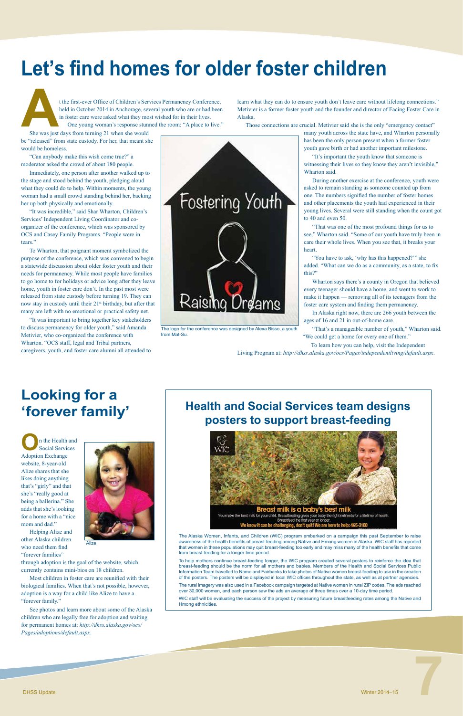**O**n the Health and Social Services Adoption Exchange website, 8-year-old Alize shares that she likes doing anything that's "girly" and that she's "really good at being a ballerina." She adds that she's looking for a home with a "nice mom and dad." Helping Alize and other Alaska children who need them find "forever families" through adoption is the goal of the website, which currently contains mini-bios on 18 children. **Alize** 



t the first-ever Office of Children's Services Permanency Conference,<br>held in October 2014 in Anchorage, several youth who are or had been<br>in foster care were asked what they most wished for in their lives.<br>One young woman held in October 2014 in Anchorage, several youth who are or had been in foster care were asked what they most wished for in their lives. One young woman's response stunned the room: "A place to live."

Most children in foster care are reunified with their biological families. When that's not possible, however, adoption is a way for a child like Alize to have a "forever family."

See photos and learn more about some of the Alaska children who are legally free for adoption and waiting for permanent homes at: *[http://dhss.alaska.gov/ocs/](http://dhss.alaska.gov/ocs/Pages/adoptions/default.aspx) [Pages/adoptions/default.aspx](http://dhss.alaska.gov/ocs/Pages/adoptions/default.aspx)*.

## **Looking for a 'forever family'**

She was just days from turning 21 when she would be "released" from state custody. For her, that meant she would be homeless.

"Can anybody make this wish come true?" a moderator asked the crowd of about 180 people.

Immediately, one person after another walked up to the stage and stood behind the youth, pledging aloud what they could do to help. Within moments, the young woman had a small crowd standing behind her, backing her up both physically and emotionally.

"It was incredible," said Shar Wharton, Children's Services' Independent Living Coordinator and coorganizer of the conference, which was sponsored by OCS and Casey Family Programs. "People were in tears."

> "You have to ask, 'why has this happened?" she added. "What can we do as a community, as a state, to fix this?"

To Wharton, that poignant moment symbolized the purpose of the conference, which was convened to begin a statewide discussion about older foster youth and their needs for permanency. While most people have families to go home to for holidays or advice long after they leave home, youth in foster care don't. In the past most were released from state custody before turning 19. They can now stay in custody until their 21<sup>st</sup> birthday, but after that many are left with no emotional or practical safety net.

"It was important to bring together key stakeholders to discuss permanency for older youth," said Amanda Metivier, who co-organized the conference with Wharton. "OCS staff, legal and Tribal partners, caregivers, youth, and foster care alumni all attended to



learn what they can do to ensure youth don't leave care without lifelong connections." Metivier is a former foster youth and the founder and director of Facing Foster Care in Alaska.

Those connections are crucial. Metivier said she is the only "emergency contact"

many youth across the state have, and Wharton personally has been the only person present when a former foster youth gave birth or had another important milestone.

"It's important the youth know that someone is witnessing their lives so they know they aren't invisible," Wharton said.

During another exercise at the conference, youth were asked to remain standing as someone counted up from one. The numbers signified the number of foster homes and other placements the youth had experienced in their young lives. Several were still standing when the count got to 40 and even 50.

"That was one of the most profound things for us to see," Wharton said. "Some of our youth have truly been in care their whole lives. When you see that, it breaks your heart.

Wharton says there's a county in Oregon that believed every teenager should have a home, and went to work to make it happen — removing all of its teenagers from the foster care system and finding them permanency.

In Alaska right now, there are 266 youth between the ages of 16 and 21 in out-of-home care.

"That's a manageable number of youth," Wharton said. "We could get a home for every one of them."

To learn how you can help, visit the Independent

Living Program at: *<http://dhss.alaska.gov/ocs/Pages/independentliving/default.aspx>*.

The logo for the conference was designed by Alexa Bisso, a youth from Mat-Su.

## **Let's find homes for older foster children**

The Alaska Women, Infants, and Children (WIC) program embarked on a campaign this past September to raise awareness of the health benefits of breast-feeding among Native and Hmong women in Alaska. WIC staff has reported that women in these populations may quit breast-feeding too early and may miss many of the health benefits that come from breast-feeding for a longer time period.

To help mothers continue breast-feeding longer, the WIC program created several posters to reinforce the idea that breast-feeding should be the norm for all mothers and babies. Members of the Health and Social Services Public Information Team travelled to Nome and Fairbanks to take photos of Native women breast-feeding to use in the creation of the posters. The posters will be displayed in local WIC offices throughout the state, as well as at partner agencies.

The rural imagery was also used in a Facebook campaign targeted at Native women in rural ZIP codes. The ads reached over 30,000 women, and each person saw the ads an average of three times over a 10-day time period.

WIC staff will be evaluating the success of the project by measuring future breastfeeding rates among the Native and Hmong ethnicities.

### **Health and Social Services team designs posters to support breast-feeding**